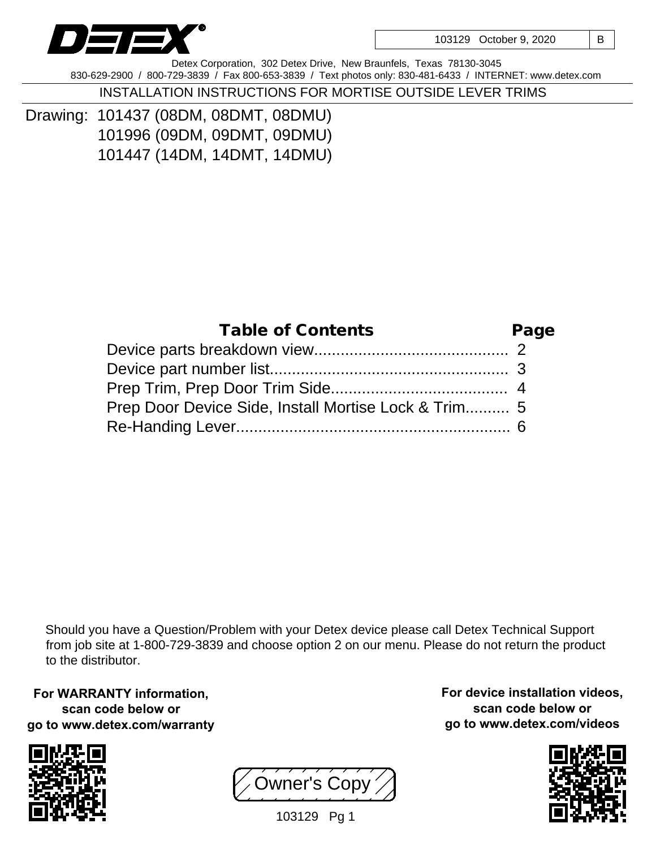

103129 October 9, 2020 | B

Detex Corporation, 302 Detex Drive, New Braunfels, Texas 78130-3045 830-629-2900 / 800-729-3839 / Fax 800-653-3839 / Text photos only: 830-481-6433 / INTERNET: www.detex.com

INSTALLATION INSTRUCTIONS FOR MORTISE OUTSIDE LEVER TRIMS

Drawing: 101437 (08DM, 08DMT, 08DMU) 101996 (09DM, 09DMT, 09DMU) 101447 (14DM, 14DMT, 14DMU)

| <b>Table of Contents</b>                             | Page |
|------------------------------------------------------|------|
|                                                      |      |
|                                                      |      |
|                                                      |      |
| Prep Door Device Side, Install Mortise Lock & Trim 5 |      |
|                                                      |      |

Should you have a Question/Problem with your Detex device please call Detex Technical Support from job site at 1-800-729-3839 and choose option 2 on our menu. Please do not return the product to the distributor.

**For WARRANTY information, scan code below or go to www.detex.com/warranty**





**For device installation videos, scan code below or go to www.detex.com/videos**



103129 Pg 1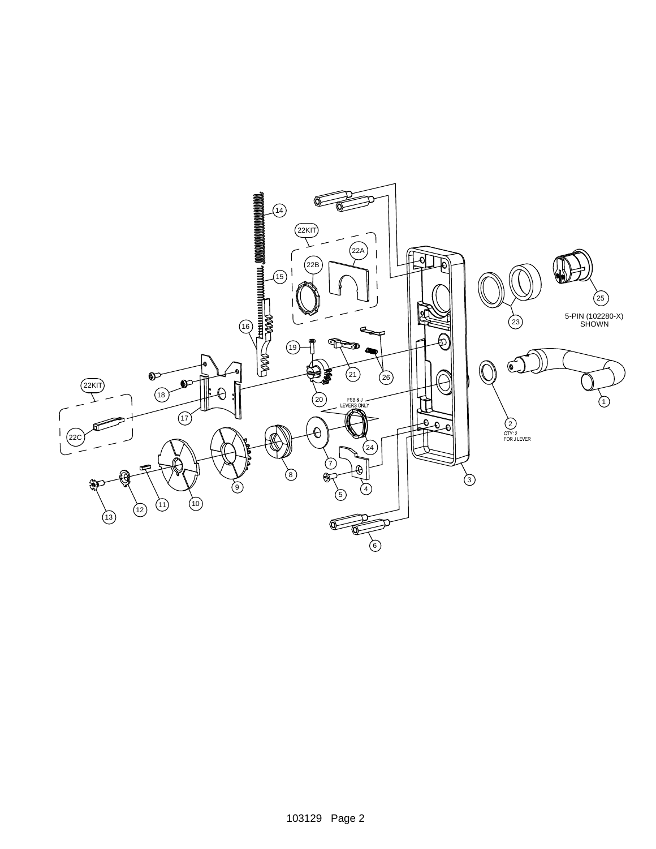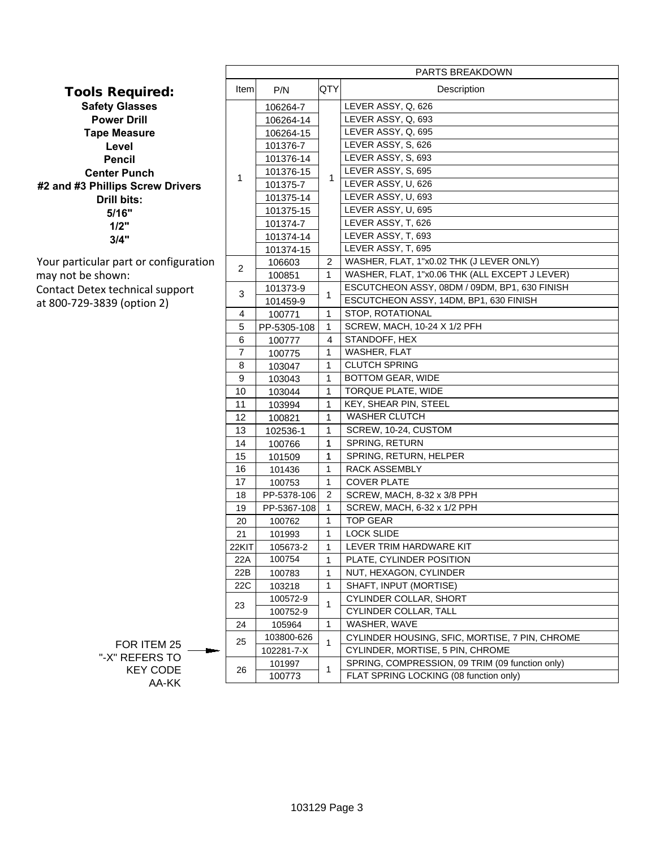|                                                            | PARTS BREAKDOWN |                    |                |                                                        |
|------------------------------------------------------------|-----------------|--------------------|----------------|--------------------------------------------------------|
| Tools Required:                                            | Item            | P/N                | QTY            | Description                                            |
| <b>Safety Glasses</b>                                      |                 | 106264-7           |                | LEVER ASSY, Q, 626                                     |
| <b>Power Drill</b>                                         |                 | 106264-14          |                | LEVER ASSY, Q, 693                                     |
| <b>Tape Measure</b>                                        |                 | 106264-15          |                | LEVER ASSY, Q, 695                                     |
| Level                                                      |                 | 101376-7           |                | LEVER ASSY, S, 626                                     |
| <b>Pencil</b>                                              |                 | 101376-14          |                | LEVER ASSY, S, 693                                     |
| <b>Center Punch</b>                                        | 1               | 101376-15          | $\mathbf{1}$   | LEVER ASSY, S, 695                                     |
| #2 and #3 Phillips Screw Drivers                           |                 | 101375-7           |                | LEVER ASSY, U, 626                                     |
| Drill bits:                                                |                 | 101375-14          |                | LEVER ASSY, U, 693                                     |
| 5/16"                                                      |                 | 101375-15          | $\overline{2}$ | LEVER ASSY, U, 695                                     |
| 1/2"<br>3/4"                                               |                 | 101374-7           |                | LEVER ASSY, T, 626                                     |
|                                                            |                 | 101374-14          |                | LEVER ASSY, T, 693<br>LEVER ASSY, T, 695               |
|                                                            |                 | 101374-15          |                | WASHER, FLAT, 1"x0.02 THK (J LEVER ONLY)               |
| Your particular part or configuration<br>may not be shown: | $\overline{2}$  | 106603<br>100851   | $\mathbf{1}$   | WASHER, FLAT, 1"x0.06 THK (ALL EXCEPT J LEVER)         |
|                                                            |                 | 101373-9           |                | ESCUTCHEON ASSY, 08DM / 09DM, BP1, 630 FINISH          |
| Contact Detex technical support                            | 3               | 101459-9           | 1              | ESCUTCHEON ASSY, 14DM, BP1, 630 FINISH                 |
| at 800-729-3839 (option 2)                                 | 4               | 100771             | $\mathbf{1}$   | STOP, ROTATIONAL                                       |
|                                                            | 5               | PP-5305-108        | $\mathbf{1}$   | SCREW, MACH, 10-24 X 1/2 PFH                           |
|                                                            | 6               | 100777             | 4              | STANDOFF, HEX                                          |
|                                                            | $\overline{7}$  | 100775             | $\mathbf{1}$   | WASHER, FLAT                                           |
|                                                            | 8               | 103047             | $\mathbf{1}$   | <b>CLUTCH SPRING</b>                                   |
|                                                            | 9               | 103043             | $\mathbf{1}$   | <b>BOTTOM GEAR, WIDE</b>                               |
|                                                            | 10              | 103044             | $\mathbf{1}$   | TORQUE PLATE, WIDE                                     |
|                                                            | 11              | 103994             | $\mathbf{1}$   | KEY, SHEAR PIN, STEEL                                  |
|                                                            | 12              | 100821             | $\mathbf{1}$   | <b>WASHER CLUTCH</b>                                   |
|                                                            | 13              | 102536-1           | $\mathbf{1}$   | SCREW, 10-24, CUSTOM                                   |
|                                                            | 14              | 100766             | 1              | SPRING, RETURN                                         |
|                                                            | 15              | 101509             | $\mathbf 1$    | SPRING, RETURN, HELPER                                 |
|                                                            | 16              | 101436             | $\mathbf{1}$   | RACK ASSEMBLY                                          |
|                                                            | 17              | 100753             | $\mathbf{1}$   | <b>COVER PLATE</b>                                     |
|                                                            | 18              | PP-5378-106        | $\overline{2}$ | SCREW, MACH, 8-32 x 3/8 PPH                            |
|                                                            | 19              | PP-5367-108        | $\mathbf{1}$   | SCREW, MACH, 6-32 x 1/2 PPH                            |
|                                                            | 20              | 100762             | $\mathbf{1}$   | <b>TOP GEAR</b>                                        |
|                                                            | 21              | 101993             | $\mathbf{1}$   | <b>LOCK SLIDE</b>                                      |
|                                                            | 22KIT           | 105673-2           | $\mathbf{1}$   | LEVER TRIM HARDWARE KIT                                |
|                                                            | 22A             | 100754             | 1              | PLATE, CYLINDER POSITION                               |
|                                                            | 22B             | 100783             | 1              | NUT, HEXAGON, CYLINDER                                 |
|                                                            | 22C             | 103218             | $\mathbf{1}$   | SHAFT, INPUT (MORTISE)                                 |
|                                                            | 23              | 100572-9           | 1              | <b>CYLINDER COLLAR, SHORT</b><br>CYLINDER COLLAR, TALL |
|                                                            | 24              | 100752-9<br>105964 | 1              | WASHER, WAVE                                           |
|                                                            |                 | 103800-626         |                | CYLINDER HOUSING, SFIC, MORTISE, 7 PIN, CHROME         |
| FOR ITEM 25                                                | 25              | 102281-7-X         | 1              | CYLINDER, MORTISE, 5 PIN, CHROME                       |
| "-X" REFERS TO                                             |                 | 101997             |                | SPRING, COMPRESSION, 09 TRIM (09 function only)        |
| <b>KEY CODE</b>                                            | 26              | 100773             | 1              | FLAT SPRING LOCKING (08 function only)                 |
| AA-KK                                                      |                 |                    |                |                                                        |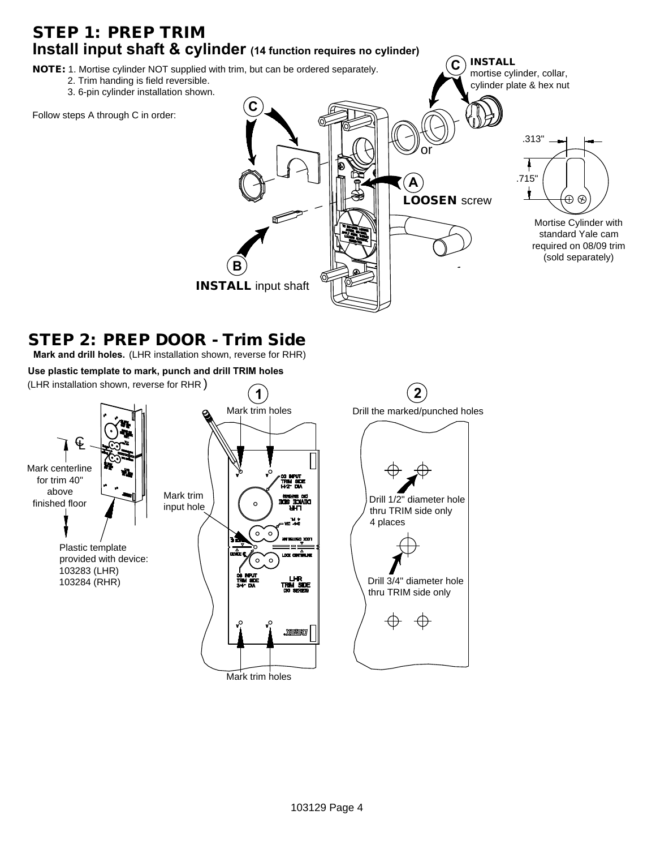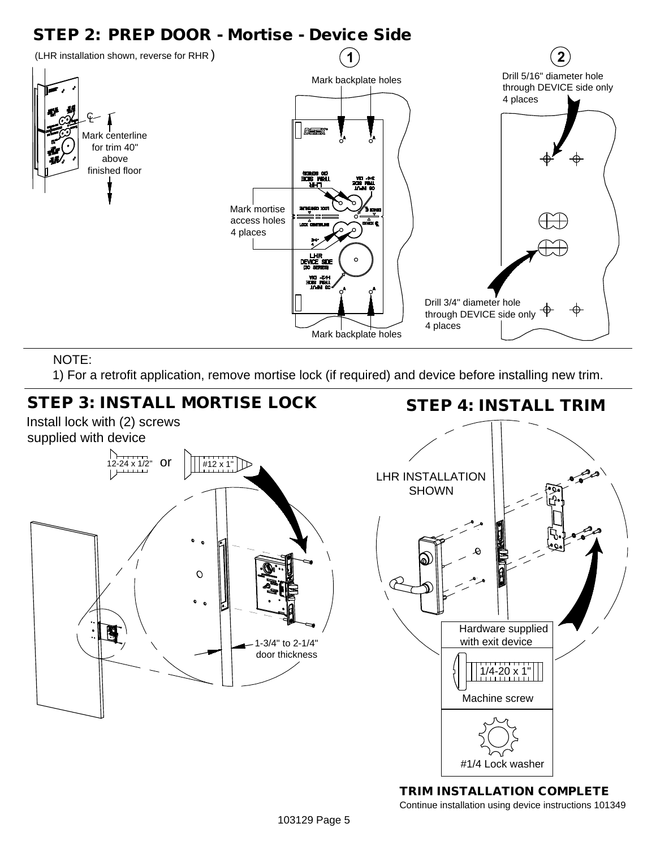## STEP 2: PREP DOOR - Mortise - Device Side



## NOTE:

1) For a retrofit application, remove mortise lock (if required) and device before installing new trim.



TRIM INSTALLATION COMPLETE Continue installation using device instructions 101349